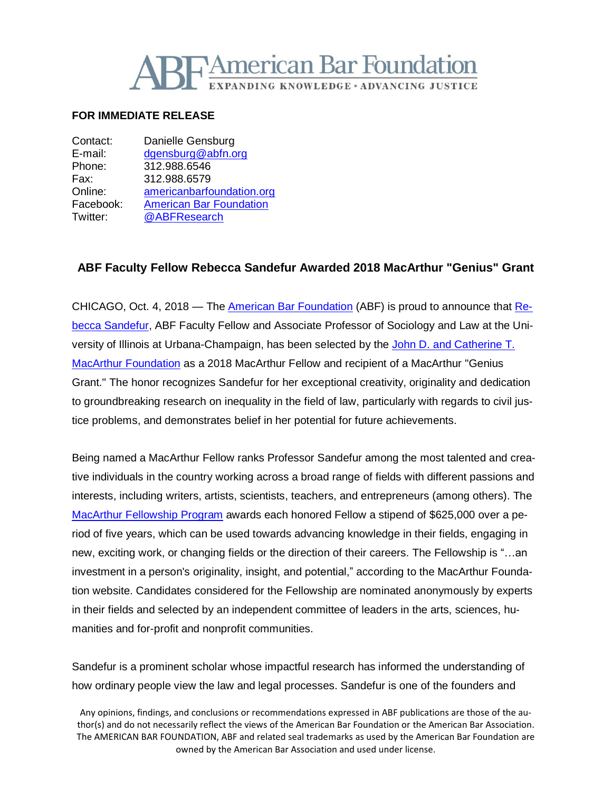

## **FOR IMMEDIATE RELEASE**

| Contact:  | Danielle Gensburg              |
|-----------|--------------------------------|
| E-mail:   | dgensburg@abfn.org             |
| Phone:    | 312.988.6546                   |
| Fax:      | 312.988.6579                   |
| Online:   | americanbarfoundation.org      |
| Facebook: | <b>American Bar Foundation</b> |
| Twitter:  | @ABFResearch                   |

## **ABF Faculty Fellow Rebecca Sandefur Awarded 2018 MacArthur "Genius" Grant**

CHICAGO, Oct. 4, 2018 — The American Bar [Foundation](http://www.americanbarfoundation.org/index.html) (ABF) is proud to announce that [Re](http://www.americanbarfoundation.org/faculty/profile/31)becca [Sandefur,](http://www.americanbarfoundation.org/faculty/profile/31) ABF Faculty Fellow and Associate Professor of Sociology and Law at the University of Illinois at Urbana-Champaign, has been selected by the John D. and [Catherine](https://www.macfound.org/) T. MacArthur [Foundation](https://www.macfound.org/) as a 2018 MacArthur Fellow and recipient of a MacArthur "Genius Grant." The honor recognizes Sandefur for her exceptional creativity, originality and dedication to groundbreaking research on inequality in the field of law, particularly with regards to civil justice problems, and demonstrates belief in her potential for future achievements.

Being named a MacArthur Fellow ranks Professor Sandefur among the most talented and creative individuals in the country working across a broad range of fields with different passions and interests, including writers, artists, scientists, teachers, and entrepreneurs (among others). The MacArthur [Fellowship](http://www.apple.com/) Program awards each honored Fellow a stipend of \$625,000 over a period of five years, which can be used towards advancing knowledge in their fields, engaging in new, exciting work, or changing fields or the direction of their careers. The Fellowship is "…an investment in a person's originality, insight, and potential," according to the MacArthur Foundation website. Candidates considered for the Fellowship are nominated anonymously by experts in their fields and selected by an independent committee of leaders in the arts, sciences, humanities and for-profit and nonprofit communities.

Sandefur is a prominent scholar whose impactful research has informed the understanding of how ordinary people view the law and legal processes. Sandefur is one of the founders and

Any opinions, findings, and conclusions or recommendations expressed in ABF publications are those of the author(s) and do not necessarily reflect the views of the American Bar Foundation or the American Bar Association. The AMERICAN BAR FOUNDATION, ABF and related seal trademarks as used by the American Bar Foundation are owned by the American Bar Association and used under license.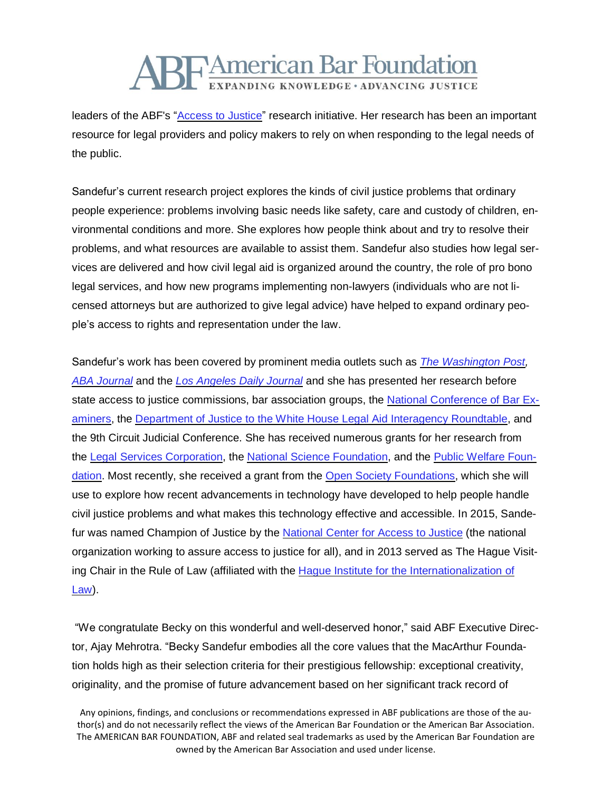

leaders of the ABF's ["Access](http://www.americanbarfoundation.org/research/project/106) to Justice" research initiative. Her research has been an important resource for legal providers and policy makers to rely on when responding to the legal needs of the public.

Sandefur's current research project explores the kinds of civil justice problems that ordinary people experience: problems involving basic needs like safety, care and custody of children, environmental conditions and more. She explores how people think about and try to resolve their problems, and what resources are available to assist them. Sandefur also studies how legal services are delivered and how civil legal aid is organized around the country, the role of pro bono legal services, and how new programs implementing non-lawyers (individuals who are not licensed attorneys but are authorized to give legal advice) have helped to expand ordinary people's access to rights and representation under the law.

Sandefur's work has been covered by prominent media outlets such as *The [Washington](https://www.washingtonpost.com/?noredirect=on) Post, ABA [Journal](https://abfn-my.sharepoint.com/personal/dgensburg_abfn_org/Documents/ABA%20Journal)* and the *Los [Angeles](https://www.facebook.com/americanbarfoundation/?__tn__=kC-R&eid=ARDBUPpHrkuqp79iRCAt-FHqTYJaXL_JZDZSR5JQxwdc3_QWVnFbiBijBFHF1ljaoVsGtuq9ksVbzAhT&hc_ref=ARReB2QKlH5Tcnj4nUyZFS9G8VHrAD8gXqKQ1afUgoLR3ySgkCPtOCB3nq5Blfx9Sck&fref=nf&__xts__%5b0%5d=68.ARBj8dJve3ZquOPfygmgL2AvP4noMKFOqYycjBjjOv9XnCqSfoBdg5UtmAn13sLnGtqwh79I-j65TW45viHdtKcZk6pVuLKNb_YvTHJs-b_LZwqmQFV9HpHtUQZsU7THzYh6wXNYo7w1JZq4dZySc6bSlsuIt5xfxQQ1fT5wi3i5QzBylSeEjw) Daily Journal* and she has presented her research before state access to justice commissions, bar association groups, the National [Conference](http://www.ncbex.org/) of Bar Ex[aminers,](http://www.ncbex.org/) the Department of Justice to the White House Legal Aid Interagency [Roundtable,](https://www.justice.gov/lair) and the 9th Circuit Judicial Conference. She has received numerous grants for her research from the Legal Services [Corporation,](https://www.lsc.gov/) the National Science [Foundation,](https://www.nsf.gov/) and the Public [Welfare](http://www.publicwelfare.org/) Foun[dation.](http://www.publicwelfare.org/) Most recently, she received a grant from the Open Society [Foundations,](https://www.opensocietyfoundations.org/) which she will use to explore how recent advancements in technology have developed to help people handle civil justice problems and what makes this technology effective and accessible. In 2015, Sandefur was named Champion of Justice by the [National](http://ncforaj.org/) Center for Access to Justice (the national organization working to assure access to justice for all), and in 2013 served as The Hague Visit-ing Chair in the Rule of Law (affiliated with the Hague Institute for the [Internationalization](http://www.hiil.org/) of [Law\)](http://www.hiil.org/).

"We congratulate Becky on this wonderful and well-deserved honor," said ABF Executive Director, Ajay Mehrotra. "Becky Sandefur embodies all the core values that the MacArthur Foundation holds high as their selection criteria for their prestigious fellowship: exceptional creativity, originality, and the promise of future advancement based on her significant track record of

Any opinions, findings, and conclusions or recommendations expressed in ABF publications are those of the author(s) and do not necessarily reflect the views of the American Bar Foundation or the American Bar Association. The AMERICAN BAR FOUNDATION, ABF and related seal trademarks as used by the American Bar Foundation are owned by the American Bar Association and used under license.